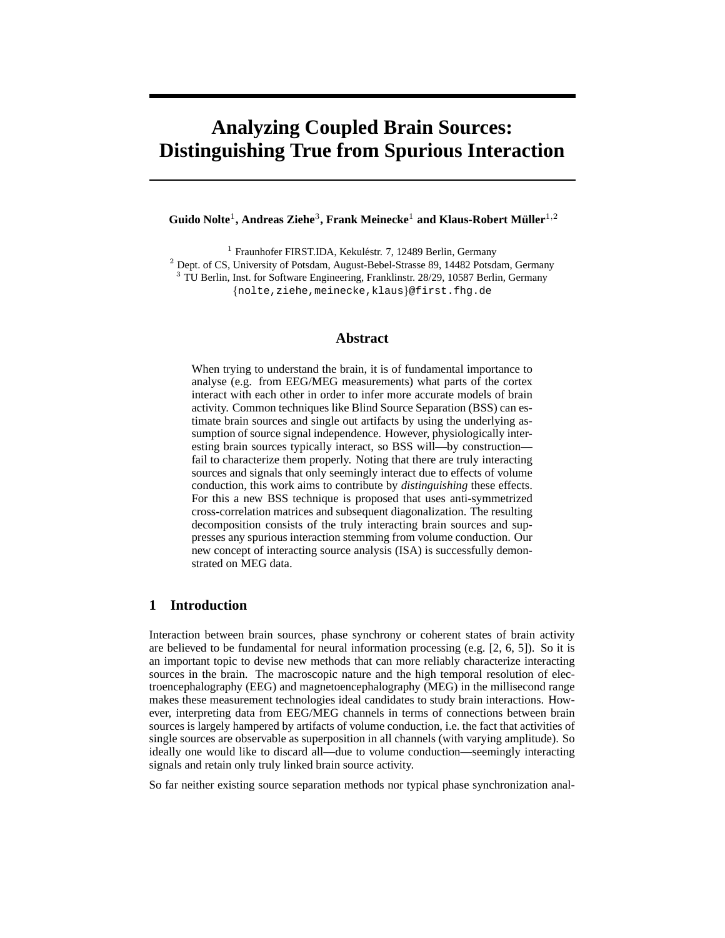# **Analyzing Coupled Brain Sources: Distinguishing True from Spurious Interaction**

# $\boldsymbol{\mathrm{Guido\ Nolte}}^{1}$ , Andreas Ziehe<sup>3</sup>, Frank Meinecke<sup>1</sup> and Klaus-Robert Müller<sup>1,2</sup>

<sup>1</sup> Fraunhofer FIRST.IDA, Kekuléstr. 7, 12489 Berlin, Germany <sup>2</sup> Dept. of CS, University of Potsdam, August-Bebel-Strasse 89, 14482 Potsdam, Germany <sup>3</sup> TU Berlin, Inst. for Software Engineering, Franklinstr. 28/29, 10587 Berlin, Germany {nolte,ziehe,meinecke,klaus}@first.fhg.de

# **Abstract**

When trying to understand the brain, it is of fundamental importance to analyse (e.g. from EEG/MEG measurements) what parts of the cortex interact with each other in order to infer more accurate models of brain activity. Common techniques like Blind Source Separation (BSS) can estimate brain sources and single out artifacts by using the underlying assumption of source signal independence. However, physiologically interesting brain sources typically interact, so BSS will—by construction fail to characterize them properly. Noting that there are truly interacting sources and signals that only seemingly interact due to effects of volume conduction, this work aims to contribute by *distinguishing* these effects. For this a new BSS technique is proposed that uses anti-symmetrized cross-correlation matrices and subsequent diagonalization. The resulting decomposition consists of the truly interacting brain sources and suppresses any spurious interaction stemming from volume conduction. Our new concept of interacting source analysis (ISA) is successfully demonstrated on MEG data.

# **1 Introduction**

Interaction between brain sources, phase synchrony or coherent states of brain activity are believed to be fundamental for neural information processing (e.g. [2, 6, 5]). So it is an important topic to devise new methods that can more reliably characterize interacting sources in the brain. The macroscopic nature and the high temporal resolution of electroencephalography (EEG) and magnetoencephalography (MEG) in the millisecond range makes these measurement technologies ideal candidates to study brain interactions. However, interpreting data from EEG/MEG channels in terms of connections between brain sources is largely hampered by artifacts of volume conduction, i.e. the fact that activities of single sources are observable as superposition in all channels (with varying amplitude). So ideally one would like to discard all—due to volume conduction—seemingly interacting signals and retain only truly linked brain source activity.

So far neither existing source separation methods nor typical phase synchronization anal-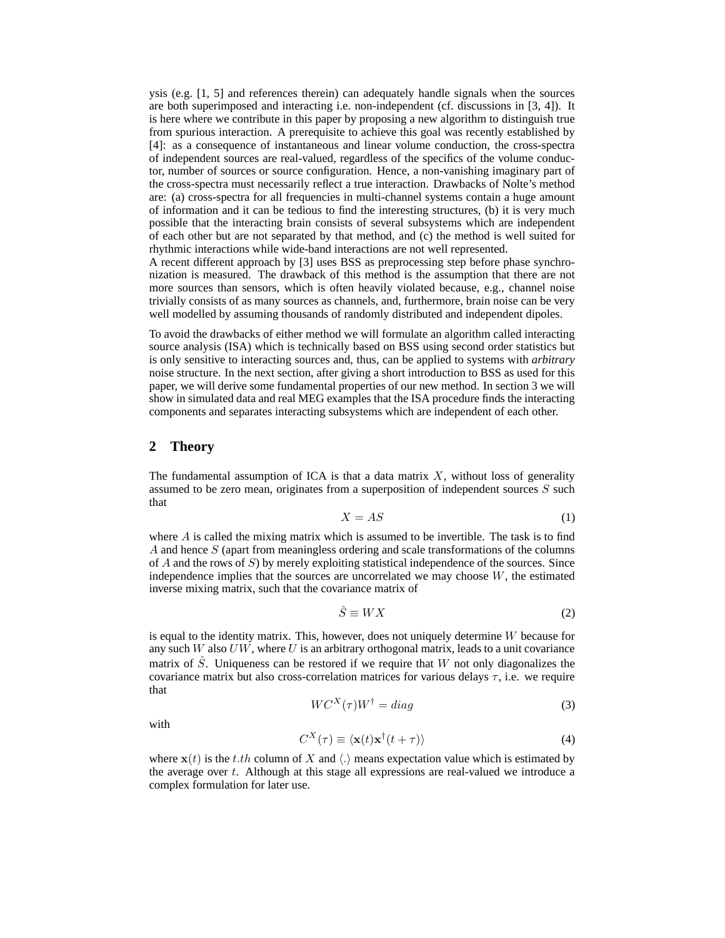ysis (e.g. [1, 5] and references therein) can adequately handle signals when the sources are both superimposed and interacting i.e. non-independent (cf. discussions in [3, 4]). It is here where we contribute in this paper by proposing a new algorithm to distinguish true from spurious interaction. A prerequisite to achieve this goal was recently established by [4]: as a consequence of instantaneous and linear volume conduction, the cross-spectra of independent sources are real-valued, regardless of the specifics of the volume conductor, number of sources or source configuration. Hence, a non-vanishing imaginary part of the cross-spectra must necessarily reflect a true interaction. Drawbacks of Nolte's method are: (a) cross-spectra for all frequencies in multi-channel systems contain a huge amount of information and it can be tedious to find the interesting structures, (b) it is very much possible that the interacting brain consists of several subsystems which are independent of each other but are not separated by that method, and (c) the method is well suited for rhythmic interactions while wide-band interactions are not well represented.

A recent different approach by [3] uses BSS as preprocessing step before phase synchronization is measured. The drawback of this method is the assumption that there are not more sources than sensors, which is often heavily violated because, e.g., channel noise trivially consists of as many sources as channels, and, furthermore, brain noise can be very well modelled by assuming thousands of randomly distributed and independent dipoles.

To avoid the drawbacks of either method we will formulate an algorithm called interacting source analysis (ISA) which is technically based on BSS using second order statistics but is only sensitive to interacting sources and, thus, can be applied to systems with *arbitrary* noise structure. In the next section, after giving a short introduction to BSS as used for this paper, we will derive some fundamental properties of our new method. In section 3 we will show in simulated data and real MEG examples that the ISA procedure finds the interacting components and separates interacting subsystems which are independent of each other.

### **2 Theory**

The fundamental assumption of ICA is that a data matrix  $X$ , without loss of generality assumed to be zero mean, originates from a superposition of independent sources  $S$  such that

$$
X = AS \tag{1}
$$

where  $\vec{A}$  is called the mixing matrix which is assumed to be invertible. The task is to find A and hence  $S$  (apart from meaningless ordering and scale transformations of the columns of A and the rows of  $S$ ) by merely exploiting statistical independence of the sources. Since independence implies that the sources are uncorrelated we may choose  $W$ , the estimated inverse mixing matrix, such that the covariance matrix of

$$
\hat{S} \equiv W X \tag{2}
$$

is equal to the identity matrix. This, however, does not uniquely determine  $W$  because for any such  $W$  also  $UW$ , where  $U$  is an arbitrary orthogonal matrix, leads to a unit covariance matrix of  $\hat{S}$ . Uniqueness can be restored if we require that W not only diagonalizes the covariance matrix but also cross-correlation matrices for various delays  $\tau$ , i.e. we require that

$$
WC^X(\tau)W^{\dagger} = diag
$$
\n(3)

with

$$
C^{X}(\tau) \equiv \langle \mathbf{x}(t)\mathbf{x}^{\dagger}(t+\tau) \rangle \tag{4}
$$

where  $\mathbf{x}(t)$  is the t.th column of X and  $\langle \cdot \rangle$  means expectation value which is estimated by the average over  $t$ . Although at this stage all expressions are real-valued we introduce a complex formulation for later use.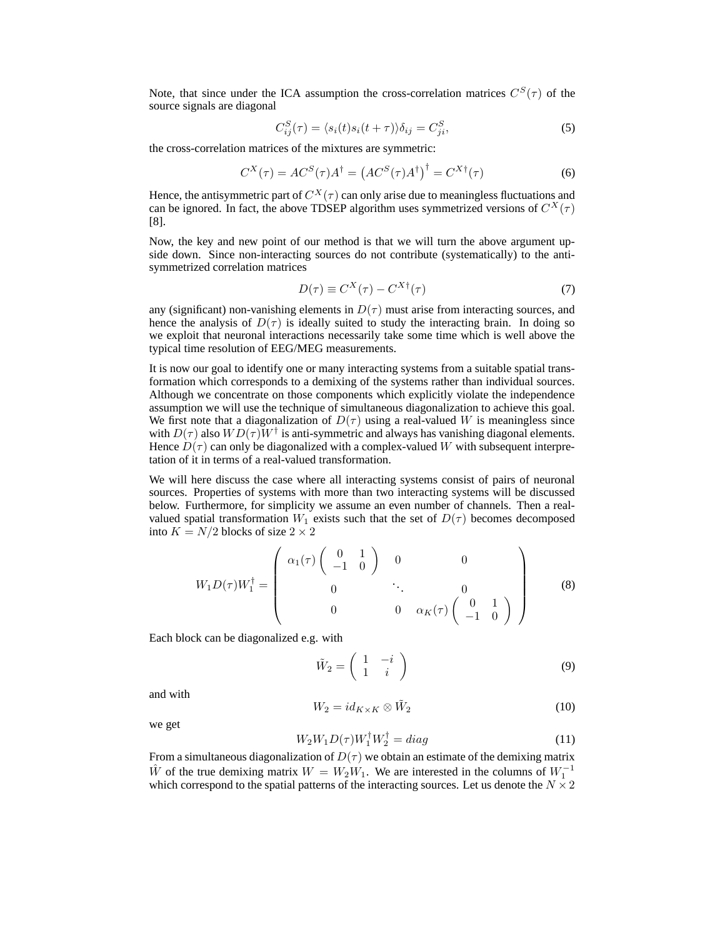Note, that since under the ICA assumption the cross-correlation matrices  $C^{S}(\tau)$  of the source signals are diagonal

$$
C_{ij}^{S}(\tau) = \langle s_i(t)s_i(t+\tau) \rangle \delta_{ij} = C_{ji}^{S}, \tag{5}
$$

the cross-correlation matrices of the mixtures are symmetric:

$$
C^{X}(\tau) = AC^{S}(\tau)A^{\dagger} = (AC^{S}(\tau)A^{\dagger})^{\dagger} = C^{X\dagger}(\tau)
$$
\n(6)

Hence, the antisymmetric part of  $C^X(\tau)$  can only arise due to meaningless fluctuations and can be ignored. In fact, the above TDSEP algorithm uses symmetrized versions of  $C^X(\tau)$ [8].

Now, the key and new point of our method is that we will turn the above argument upside down. Since non-interacting sources do not contribute (systematically) to the antisymmetrized correlation matrices

$$
D(\tau) \equiv C^X(\tau) - C^{X\dagger}(\tau) \tag{7}
$$

any (significant) non-vanishing elements in  $D(\tau)$  must arise from interacting sources, and hence the analysis of  $D(\tau)$  is ideally suited to study the interacting brain. In doing so we exploit that neuronal interactions necessarily take some time which is well above the typical time resolution of EEG/MEG measurements.

It is now our goal to identify one or many interacting systems from a suitable spatial transformation which corresponds to a demixing of the systems rather than individual sources. Although we concentrate on those components which explicitly violate the independence assumption we will use the technique of simultaneous diagonalization to achieve this goal. We first note that a diagonalization of  $D(\tau)$  using a real-valued W is meaningless since with  $D(\tau)$  also  $WD(\tau)W^{\dagger}$  is anti-symmetric and always has vanishing diagonal elements. Hence  $D(\tau)$  can only be diagonalized with a complex-valued W with subsequent interpretation of it in terms of a real-valued transformation.

We will here discuss the case where all interacting systems consist of pairs of neuronal sources. Properties of systems with more than two interacting systems will be discussed below. Furthermore, for simplicity we assume an even number of channels. Then a realvalued spatial transformation  $W_1$  exists such that the set of  $D(\tau)$  becomes decomposed into  $K = N/2$  blocks of size  $2 \times 2$ 

$$
W_1 D(\tau) W_1^{\dagger} = \begin{pmatrix} \alpha_1(\tau) \begin{pmatrix} 0 & 1 \\ -1 & 0 \end{pmatrix} & 0 & 0 \\ 0 & \ddots & 0 \\ 0 & 0 & \alpha_K(\tau) \begin{pmatrix} 0 & 1 \\ -1 & 0 \end{pmatrix} \end{pmatrix}
$$
 (8)

Each block can be diagonalized e.g. with

$$
\tilde{W}_2 = \left(\begin{array}{cc} 1 & -i \\ 1 & i \end{array}\right) \tag{9}
$$

and with

$$
W_2 = id_{K \times K} \otimes \tilde{W}_2 \tag{10}
$$

we get

$$
W_2 W_1 D(\tau) W_1^{\dagger} W_2^{\dagger} = diag \tag{11}
$$

From a simultaneous diagonalization of  $D(\tau)$  we obtain an estimate of the demixing matrix  $\hat{W}$  of the true demixing matrix  $W = W_2W_1$ . We are interested in the columns of  $W_1^{-1}$ which correspond to the spatial patterns of the interacting sources. Let us denote the  $N \times 2$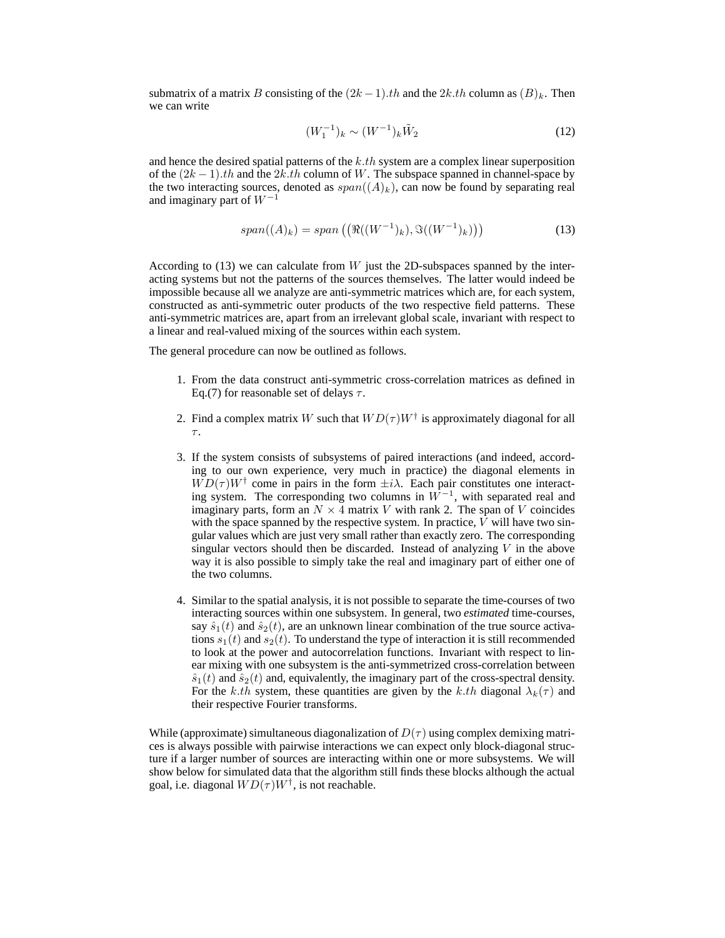submatrix of a matrix B consisting of the  $(2k-1)$ .th and the  $2k$ .th column as  $(B)_k$ . Then we can write

$$
(W_1^{-1})_k \sim (W^{-1})_k \tilde{W}_2 \tag{12}
$$

and hence the desired spatial patterns of the  $k.th$  system are a complex linear superposition of the  $(2k - 1)$ .th and the  $2k$ .th column of W. The subspace spanned in channel-space by the two interacting sources, denoted as  $span((A)_k)$ , can now be found by separating real and imaginary part of  $W^{-1}$ 

$$
span((A)_k) = span\left(\left(\Re((W^{-1})_k), \Im((W^{-1})_k)\right)\right)
$$
\n(13)

According to  $(13)$  we can calculate from W just the 2D-subspaces spanned by the interacting systems but not the patterns of the sources themselves. The latter would indeed be impossible because all we analyze are anti-symmetric matrices which are, for each system, constructed as anti-symmetric outer products of the two respective field patterns. These anti-symmetric matrices are, apart from an irrelevant global scale, invariant with respect to a linear and real-valued mixing of the sources within each system.

The general procedure can now be outlined as follows.

- 1. From the data construct anti-symmetric cross-correlation matrices as defined in Eq.(7) for reasonable set of delays  $\tau$ .
- 2. Find a complex matrix W such that  $WD(\tau)W^{\dagger}$  is approximately diagonal for all τ .
- 3. If the system consists of subsystems of paired interactions (and indeed, according to our own experience, very much in practice) the diagonal elements in  $WD(\tau)W^{\dagger}$  come in pairs in the form  $\pm i\lambda$ . Each pair constitutes one interacting system. The corresponding two columns in  $\dot{W}^{-1}$ , with separated real and imaginary parts, form an  $N \times 4$  matrix V with rank 2. The span of V coincides with the space spanned by the respective system. In practice,  $V$  will have two singular values which are just very small rather than exactly zero. The corresponding singular vectors should then be discarded. Instead of analyzing  $V$  in the above way it is also possible to simply take the real and imaginary part of either one of the two columns.
- 4. Similar to the spatial analysis, it is not possible to separate the time-courses of two interacting sources within one subsystem. In general, two *estimated* time-courses, say  $\hat{s}_1(t)$  and  $\hat{s}_2(t)$ , are an unknown linear combination of the true source activations  $s_1(t)$  and  $s_2(t)$ . To understand the type of interaction it is still recommended to look at the power and autocorrelation functions. Invariant with respect to linear mixing with one subsystem is the anti-symmetrized cross-correlation between  $\hat{s}_1(t)$  and  $\hat{s}_2(t)$  and, equivalently, the imaginary part of the cross-spectral density. For the k.th system, these quantities are given by the k.th diagonal  $\lambda_k(\tau)$  and their respective Fourier transforms.

While (approximate) simultaneous diagonalization of  $D(\tau)$  using complex demixing matrices is always possible with pairwise interactions we can expect only block-diagonal structure if a larger number of sources are interacting within one or more subsystems. We will show below for simulated data that the algorithm still finds these blocks although the actual goal, i.e. diagonal  $WD(\tau)W^{\dagger}$ , is not reachable.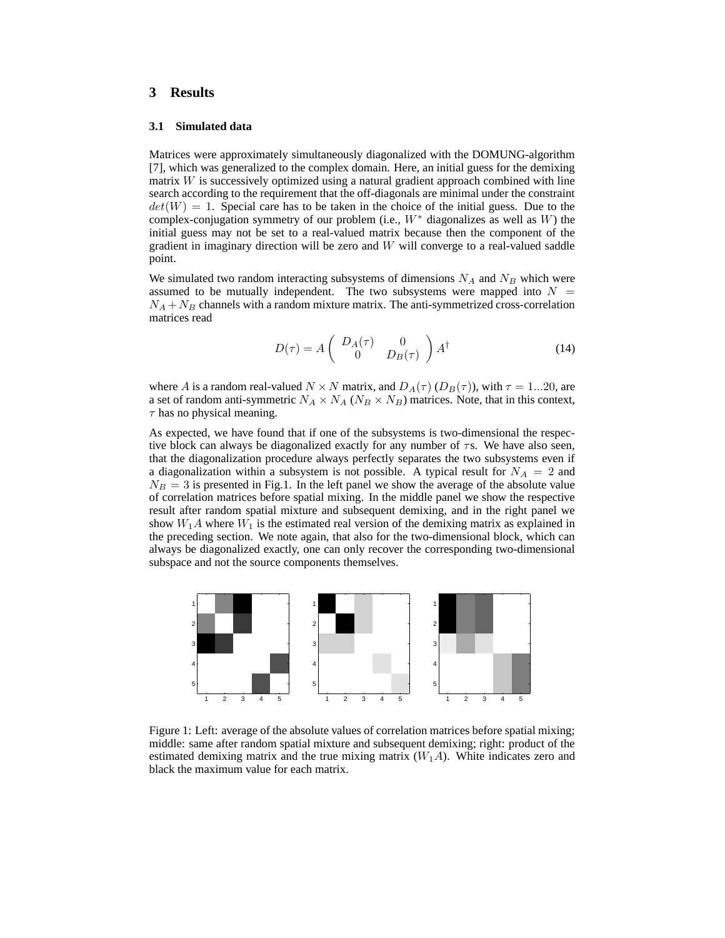## **3 Results**

#### **3.1 Simulated data**

Matrices were approximately simultaneously diagonalized with the DOMUNG-algorithm [7], which was generalized to the complex domain. Here, an initial guess for the demixing matrix  $W$  is successively optimized using a natural gradient approach combined with line search according to the requirement that the off-diagonals are minimal under the constraint  $det(W) = 1$ . Special care has to be taken in the choice of the initial guess. Due to the complex-conjugation symmetry of our problem (i.e.,  $W^*$  diagonalizes as well as  $W$ ) the initial guess may not be set to a real-valued matrix because then the component of the gradient in imaginary direction will be zero and  $W$  will converge to a real-valued saddle point.

We simulated two random interacting subsystems of dimensions  $N_A$  and  $N_B$  which were assumed to be mutually independent. The two subsystems were mapped into  $N =$  $N_A + N_B$  channels with a random mixture matrix. The anti-symmetrized cross-correlation matrices read

$$
D(\tau) = A \begin{pmatrix} D_A(\tau) & 0 \\ 0 & D_B(\tau) \end{pmatrix} A^{\dagger}
$$
 (14)

where A is a random real-valued  $N \times N$  matrix, and  $D_A(\tau)$  ( $D_B(\tau)$ ), with  $\tau = 1...20$ , are a set of random anti-symmetric  $N_A \times N_A$  ( $N_B \times N_B$ ) matrices. Note, that in this context,  $\tau$  has no physical meaning.

As expected, we have found that if one of the subsystems is two-dimensional the respective block can always be diagonalized exactly for any number of  $\tau s$ . We have also seen, that the diagonalization procedure always perfectly separates the two subsystems even if a diagonalization within a subsystem is not possible. A typical result for  $N_A = 2$  and  $N_B = 3$  is presented in Fig.1. In the left panel we show the average of the absolute value of correlation matrices before spatial mixing. In the middle panel we show the respective result after random spatial mixture and subsequent demixing, and in the right panel we show  $W_1A$  where  $W_1$  is the estimated real version of the demixing matrix as explained in the preceding section. We note again, that also for the two-dimensional block, which can always be diagonalized exactly, one can only recover the corresponding two-dimensional subspace and not the source components themselves.



Figure 1: Left: average of the absolute values of correlation matrices before spatial mixing; middle: same after random spatial mixture and subsequent demixing; right: product of the estimated demixing matrix and the true mixing matrix  $(W_1A)$ . White indicates zero and black the maximum value for each matrix.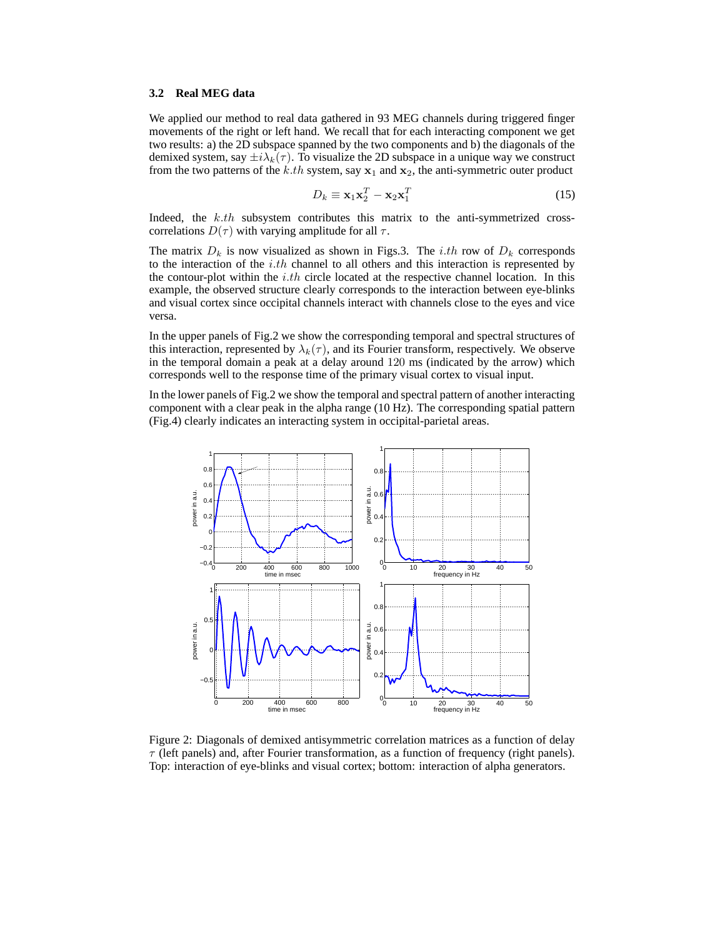#### **3.2 Real MEG data**

We applied our method to real data gathered in 93 MEG channels during triggered finger movements of the right or left hand. We recall that for each interacting component we get two results: a) the 2D subspace spanned by the two components and b) the diagonals of the demixed system, say  $\pm i\lambda_k(\tau)$ . To visualize the 2D subspace in a unique way we construct from the two patterns of the k.th system, say  $x_1$  and  $x_2$ , the anti-symmetric outer product

$$
D_k \equiv \mathbf{x}_1 \mathbf{x}_2^T - \mathbf{x}_2 \mathbf{x}_1^T \tag{15}
$$

Indeed, the  $k.th$  subsystem contributes this matrix to the anti-symmetrized crosscorrelations  $D(\tau)$  with varying amplitude for all  $\tau$ .

The matrix  $D_k$  is now visualized as shown in Figs.3. The *i.th* row of  $D_k$  corresponds to the interaction of the  $i.th$  channel to all others and this interaction is represented by the contour-plot within the *i.th* circle located at the respective channel location. In this example, the observed structure clearly corresponds to the interaction between eye-blinks and visual cortex since occipital channels interact with channels close to the eyes and vice versa.

In the upper panels of Fig.2 we show the corresponding temporal and spectral structures of this interaction, represented by  $\lambda_k(\tau)$ , and its Fourier transform, respectively. We observe in the temporal domain a peak at a delay around 120 ms (indicated by the arrow) which corresponds well to the response time of the primary visual cortex to visual input.

In the lower panels of Fig.2 we show the temporal and spectral pattern of another interacting component with a clear peak in the alpha range (10 Hz). The corresponding spatial pattern (Fig.4) clearly indicates an interacting system in occipital-parietal areas.



Figure 2: Diagonals of demixed antisymmetric correlation matrices as a function of delay  $\tau$  (left panels) and, after Fourier transformation, as a function of frequency (right panels). Top: interaction of eye-blinks and visual cortex; bottom: interaction of alpha generators.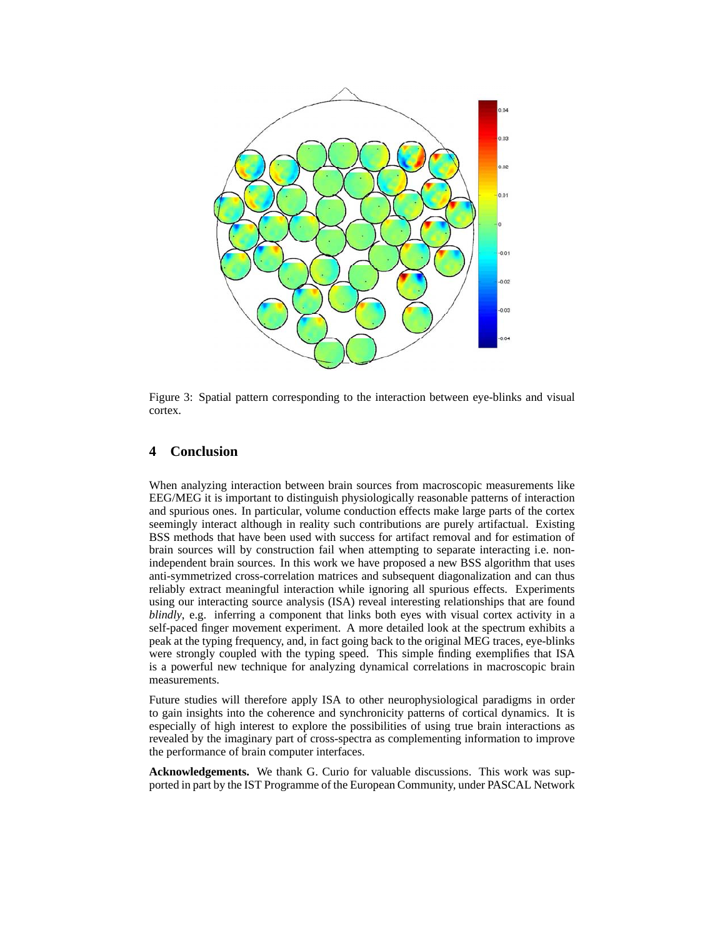

Figure 3: Spatial pattern corresponding to the interaction between eye-blinks and visual cortex.

## **4 Conclusion**

When analyzing interaction between brain sources from macroscopic measurements like EEG/MEG it is important to distinguish physiologically reasonable patterns of interaction and spurious ones. In particular, volume conduction effects make large parts of the cortex seemingly interact although in reality such contributions are purely artifactual. Existing BSS methods that have been used with success for artifact removal and for estimation of brain sources will by construction fail when attempting to separate interacting i.e. nonindependent brain sources. In this work we have proposed a new BSS algorithm that uses anti-symmetrized cross-correlation matrices and subsequent diagonalization and can thus reliably extract meaningful interaction while ignoring all spurious effects. Experiments using our interacting source analysis (ISA) reveal interesting relationships that are found *blindly*, e.g. inferring a component that links both eyes with visual cortex activity in a self-paced finger movement experiment. A more detailed look at the spectrum exhibits a peak at the typing frequency, and, in fact going back to the original MEG traces, eye-blinks were strongly coupled with the typing speed. This simple finding exemplifies that ISA is a powerful new technique for analyzing dynamical correlations in macroscopic brain measurements.

Future studies will therefore apply ISA to other neurophysiological paradigms in order to gain insights into the coherence and synchronicity patterns of cortical dynamics. It is especially of high interest to explore the possibilities of using true brain interactions as revealed by the imaginary part of cross-spectra as complementing information to improve the performance of brain computer interfaces.

**Acknowledgements.** We thank G. Curio for valuable discussions. This work was supported in part by the IST Programme of the European Community, under PASCAL Network